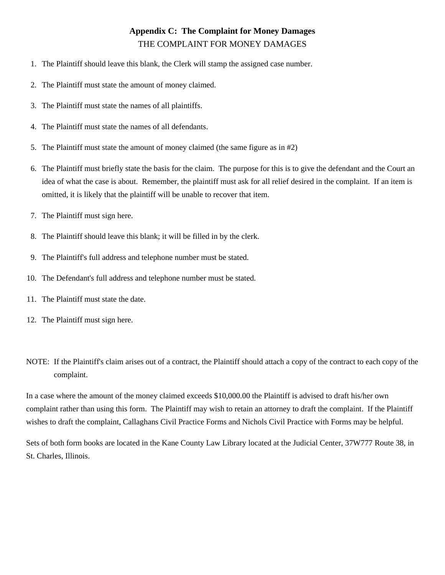## **Appendix C: The Complaint for Money Damages** THE COMPLAINT FOR MONEY DAMAGES

- 1. The Plaintiff should leave this blank, the Clerk will stamp the assigned case number.
- 2. The Plaintiff must state the amount of money claimed.
- 3. The Plaintiff must state the names of all plaintiffs.
- 4. The Plaintiff must state the names of all defendants.
- 5. The Plaintiff must state the amount of money claimed (the same figure as in #2)
- 6. The Plaintiff must briefly state the basis for the claim. The purpose for this is to give the defendant and the Court an idea of what the case is about. Remember, the plaintiff must ask for all relief desired in the complaint. If an item is omitted, it is likely that the plaintiff will be unable to recover that item.
- 7. The Plaintiff must sign here.
- 8. The Plaintiff should leave this blank; it will be filled in by the clerk.
- 9. The Plaintiff's full address and telephone number must be stated.
- 10. The Defendant's full address and telephone number must be stated.
- 11. The Plaintiff must state the date.
- 12. The Plaintiff must sign here.
- NOTE: If the Plaintiff's claim arises out of a contract, the Plaintiff should attach a copy of the contract to each copy of the complaint.

In a case where the amount of the money claimed exceeds \$10,000.00 the Plaintiff is advised to draft his/her own complaint rather than using this form. The Plaintiff may wish to retain an attorney to draft the complaint. If the Plaintiff wishes to draft the complaint, Callaghans Civil Practice Forms and Nichols Civil Practice with Forms may be helpful.

Sets of both form books are located in the Kane County Law Library located at the Judicial Center, 37W777 Route 38, in St. Charles, Illinois.